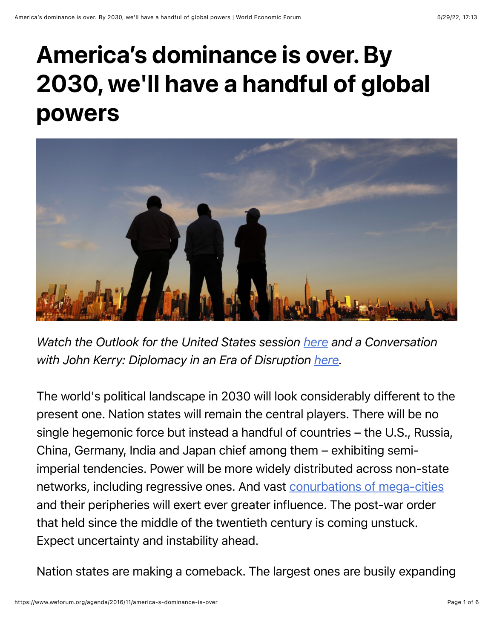## America's dominance is over. By 2030, we'll have a handful of global powers



*Watch the Outlook for the United States session [here](https://www.weforum.org/events/world-economic-forum-annual-meeting-2017/sessions/outlook-for-the-united-states) and a Conversation with John Kerry: Diplomacy in an Era of Disruption [here](https://www.weforum.org/events/world-economic-forum-annual-meeting-2017/sessions/a-conversation-with-john-kerry-diplomacy-in-an-era-of-disruption).* 

The world's political landscape in 2030 will look considerably different to the present one. Nation states will remain the central players. There will be no single hegemonic force but instead a handful of countries – the U.S., Russia, China, Germany, India and Japan chief among them – exhibiting semiimperial tendencies. Power will be more widely distributed across non-state networks, including regressive ones. And vast [conurbations of mega-cities](https://www.devex.com/news/how-cities-are-rewiring-international-affairs-88517) and their peripheries will exert ever greater influence. The post-war order that held since the middle of the twentieth century is coming unstuck. Expect uncertainty and instability ahead.

Nation states are making a comeback. The largest ones are busily expanding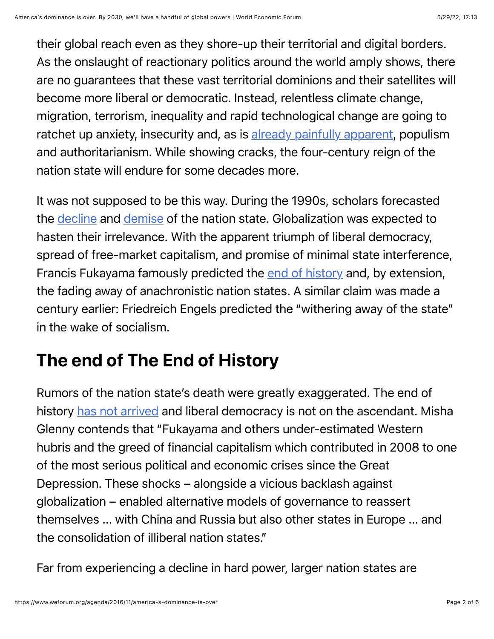their global reach even as they shore-up their territorial and digital borders. As the onslaught of reactionary politics around the world amply shows, there are no guarantees that these vast territorial dominions and their satellites will become more liberal or democratic. Instead, relentless climate change, migration, terrorism, inequality and rapid technological change are going to ratchet up anxiety, insecurity and, as is [already painfully apparent](https://www.washingtonpost.com/opinions/global-opinions/trump-is-a-threat-to-the-west-as-we-know-it-even-if-he-loses/2016/11/04/a8dc9100-a2cc-11e6-a44d-cc2898cfab06_story.html), populism and authoritarianism. While showing cracks, the four-century reign of the nation state will endure for some decades more.

It was not supposed to be this way. During the 1990s, scholars forecasted the [decline](https://www.foreignaffairs.com/articles/2001-01-01/will-nation-state-survive-globalization) and [demise](https://www.foreignaffairs.com/reviews/capsule-review/1995-11-01/end-nation-state) of the nation state. Globalization was expected to hasten their irrelevance. With the apparent triumph of liberal democracy, spread of free-market capitalism, and promise of minimal state interference, Francis Fukayama famously predicted the [end of history](https://www.amazon.com/End-History-Last-Man/dp/0743284550) and, by extension, the fading away of anachronistic nation states. A similar claim was made a century earlier: Friedreich Engels predicted the "withering away of the state" in the wake of socialism.

## The end of The End of History

Rumors of the nation state's death were greatly exaggerated. The end of history [has not arrived](http://www.theatlantic.com/politics/archive/2014/09/its-still-not-the-end-of-history-francis-fukuyama/379394/) and liberal democracy is not on the ascendant. Misha Glenny contends that "Fukayama and others under-estimated Western hubris and the greed of financial capitalism which contributed in 2008 to one of the most serious political and economic crises since the Great Depression. These shocks – alongside a vicious backlash against globalization – enabled alternative models of governance to reassert themselves ... with China and Russia but also other states in Europe ... and the consolidation of illiberal nation states."

Far from experiencing a decline in hard power, larger nation states are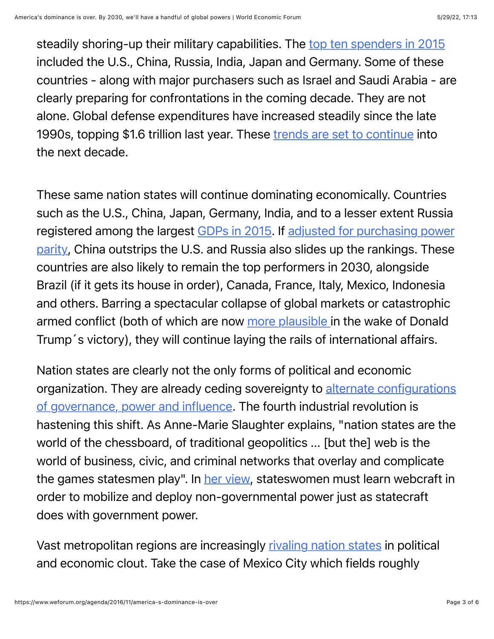steadily shoring-up their military capabilities. The [top ten spenders in 2015](https://en.wikipedia.org/wiki/List_of_countries_by_military_expenditures) included the U.S., China, Russia, India, Japan and Germany. Some of these countries - along with major purchasers such as Israel and Saudi Arabia - are clearly preparing for confrontations in the coming decade. They are not alone. Global defense expenditures have increased steadily since the late 1990s, topping \$1.6 trillion last year. These [trends are set to continue](http://books.sipri.org/files/FS/SIPRIFS1604.pdf) into the next decade.

These same nation states will continue dominating economically. Countries such as the U.S., China, Japan, Germany, India, and to a lesser extent Russia [registered among the largest G](http://databank.worldbank.org/data/download/GDP_PPP.pdf)[DPs in 201](http://databank.worldbank.org/data/download/GDP.pdf)[5. If adjusted for purchasing power](http://databank.worldbank.org/data/download/GDP_PPP.pdf) parity, China outstrips the U.S. and Russia also slides up the rankings. These countries are also likely to remain the top performers in 2030, alongside Brazil (if it gets its house in order), Canada, France, Italy, Mexico, Indonesia and others. Barring a spectacular collapse of global markets or catastrophic armed conflict (both of which are now [more plausible i](https://www.washingtonpost.com/opinions/global-opinions/why-is-trump-suddenly-talking-about-world-war-iii/2016/10/28/be44cc0e-9d24-11e6-a0ed-ab0774c1eaa5_story.html)n the wake of Donald Trump´s victory), they will continue laying the rails of international affairs.

Nation states are clearly not the only forms of political and economic [organization. They are already ceding sovereignty to alternate configurations](http://www.kpmg.com/Global/en/IssuesAndInsights/ArticlesPublications/future-state-government/Documents/future-state-2030-v3.pdf) of governance, power and influence. The fourth industrial revolution is hastening this shift. As Anne-Marie Slaughter explains, "nation states are the world of the chessboard, of traditional geopolitics ... [but the] web is the world of business, civic, and criminal networks that overlay and complicate the games statesmen play". In [her view](https://www.amazon.com/Chessboard-Web-Strategies-Connection-Networked/dp/0300215649), stateswomen must learn webcraft in order to mobilize and deploy non-governmental power just as statecraft does with government power.

Vast metropolitan regions are increasingly [rivaling nation states](http://ideas.ted.com/why-cities-rule-the-world/) in political and economic clout. Take the case of Mexico City which fields roughly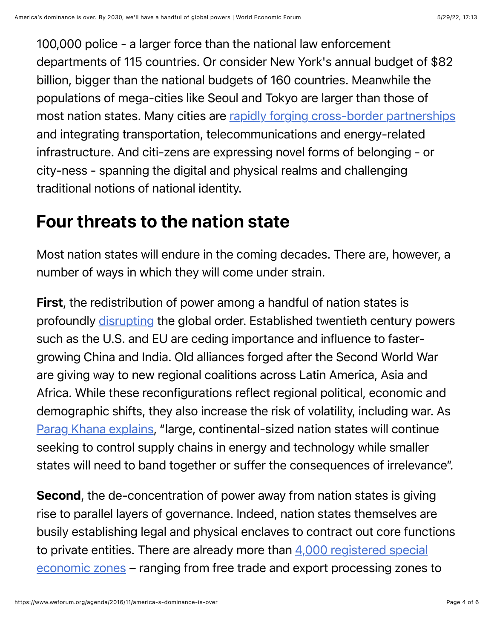100,000 police - a larger force than the national law enforcement departments of 115 countries. Or consider New York's annual budget of \$82 billion, bigger than the national budgets of 160 countries. Meanwhile the populations of mega-cities like Seoul and Tokyo are larger than those of most nation states. Many cities are [rapidly forging cross-border partnerships](http://ideas.ted.com/why-cities-rule-the-world/) and integrating transportation, telecommunications and energy-related infrastructure. And citi-zens are expressing novel forms of belonging - or city-ness - spanning the digital and physical realms and challenging traditional notions of national identity.

## Four threats to the nation state

Most nation states will endure in the coming decades. There are, however, a number of ways in which they will come under strain.

First, the redistribution of power among a handful of nation states is profoundly [disrupting](https://publicintelligence.net/global-trends-2030/) the global order. Established twentieth century powers such as the U.S. and EU are ceding importance and influence to fastergrowing China and India. Old alliances forged after the Second World War are giving way to new regional coalitions across Latin America, Asia and Africa. While these reconfigurations reflect regional political, economic and demographic shifts, they also increase the risk of volatility, including war. As [Parag Khana explains](http://www.nytimes.com/2013/10/15/opinion/the-end-of-the-nation-state.html?pagewanted=all&_r=0), "large, continental-sized nation states will continue seeking to control supply chains in energy and technology while smaller states will need to band together or suffer the consequences of irrelevance".

Second, the de-concentration of power away from nation states is giving rise to parallel layers of governance. Indeed, nation states themselves are busily establishing legal and physical enclaves to contract out core functions to private entities. There are already more than  $4,000$  registered special economic zones – ranging from free trade and export processing zones to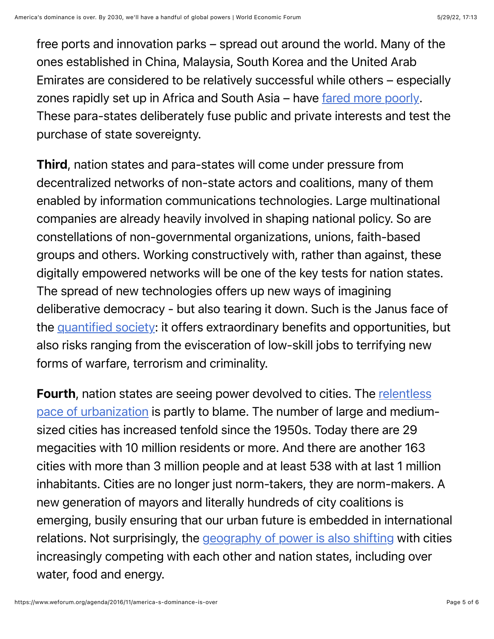free ports and innovation parks – spread out around the world. Many of the ones established in China, Malaysia, South Korea and the United Arab Emirates are considered to be relatively successful while others – especially zones rapidly set up in Africa and South Asia – have [fared more poorly.](http://www.economist.com/news/leaders/21647615-world-awash-free-trade-zones-and-their-offshoots-many-are-not-worth-effort-not) These para-states deliberately fuse public and private interests and test the purchase of state sovereignty.

Third, nation states and para-states will come under pressure from decentralized networks of non-state actors and coalitions, many of them enabled by information communications technologies. Large multinational companies are already heavily involved in shaping national policy. So are constellations of non-governmental organizations, unions, faith-based groups and others. Working constructively with, rather than against, these digitally empowered networks will be one of the key tests for nation states. The spread of new technologies offers up new ways of imagining deliberative democracy - but also tearing it down. Such is the Janus face of the [quantified society](https://www.opencanada.org/features/brace-for-the-quantified-society/): it offers extraordinary benefits and opportunities, but also risks ranging from the evisceration of low-skill jobs to terrifying new forms of warfare, terrorism and criminality.

Fourth, nation states are seeing power devolved to cities. The relentless [pace of urbanization is partly to blame. The number of large and medium](https://esa.un.org/unpd/wup/Publications/Files/WUP2014-Highlights.pdf)sized cities has increased tenfold since the 1950s. Today there are 29 megacities with 10 million residents or more. And there are another 163 cities with more than 3 million people and at least 538 with at last 1 million inhabitants. Cities are no longer just norm-takers, they are norm-makers. A new generation of mayors and literally hundreds of city coalitions is emerging, busily ensuring that our urban future is embedded in international relations. Not surprisingly, the [geography of power is also shifting](https://www.devex.com/news/how-cities-are-rewiring-international-affairs-88517) with cities increasingly competing with each other and nation states, including over water, food and energy.